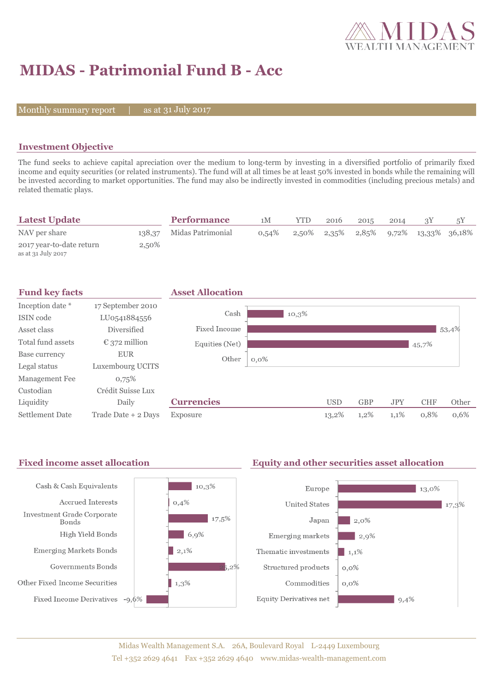

# **MIDAS - Patrimonial Fund B - Acc**

Monthly summary report  $|$ 

as at 31 July 2017

### **Investment Objective**

The fund seeks to achieve capital apreciation over the medium to long-term by investing in a diversified portfolio of primarily fixed income and equity securities (or related instruments). The fund will at all times be at least 50% invested in bonds while the remaining will be invested according to market opportunities. The fund may also be indirectly invested in commodities (including precious metals) and related thematic plays.

| <b>Latest Update</b>                           |        | <b>Performance</b> | 1М       | YTD   | 2016 | 2015 | 2014 |                                 | 5Y |
|------------------------------------------------|--------|--------------------|----------|-------|------|------|------|---------------------------------|----|
| NAV per share                                  | 138,37 | Midas Patrimonial  | $0.54\%$ | 2,50% |      |      |      | 2,35% 2,85% 9,72% 13,33% 36,18% |    |
| 2017 year-to-date return<br>as at 31 July 2017 | 2,50%  |                    |          |       |      |      |      |                                 |    |



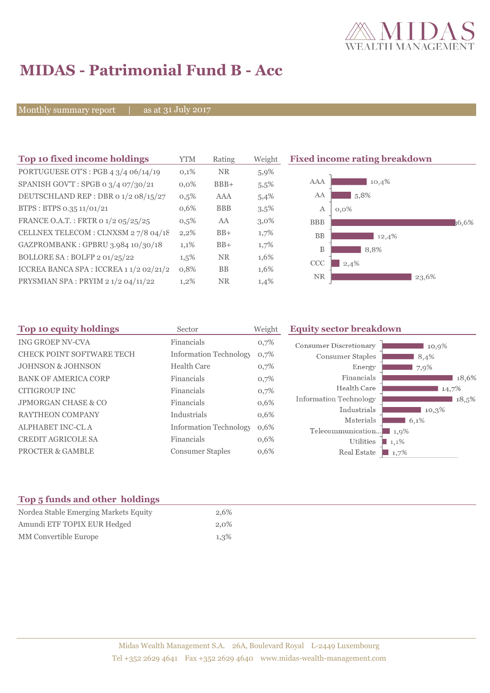

## **MIDAS - Patrimonial Fund B - Acc**

Monthly summary report | as at 31 July 2017

| Top 10 fixed income holdings            | <b>YTM</b> | Rating     | Weight  | <b>Fixed income rating breakdown</b> |
|-----------------------------------------|------------|------------|---------|--------------------------------------|
| PORTUGUESE OT'S : PGB 4 3/4 06/14/19    | 0,1%       | <b>NR</b>  | 5,9%    |                                      |
| SPANISH GOV'T: SPGB o 3/4 07/30/21      | $0.0\%$    | $BBB+$     | 5,5%    | AAA<br>10,4%                         |
| DEUTSCHLAND REP : DBR 0 1/2 08/15/27    | 0,5%       | AAA        | 5,4%    | 5,8%<br>AA                           |
| BTPS: BTPS 0.35 11/01/21                | 0,6%       | <b>BBB</b> | $3,5\%$ | А<br>$0.0\%$                         |
| FRANCE O.A.T.: FRTR 0 1/2 05/25/25      | $0,5\%$    | AA         | $3,0\%$ | <b>BBB</b><br>36.6%                  |
| CELLNEX TELECOM : CLNXSM 27/8 04/18     | 2,2%       | $BB+$      | $1,7\%$ | <b>BB</b><br>12,4%                   |
| GAZPROMBANK: GPBRU 3.984 10/30/18       | 1,1%       | $BB+$      | 1,7%    | B<br>8,8%                            |
| BOLLORE SA : BOLFP 2 01/25/22           | $1,5\%$    | <b>NR</b>  | 1,6%    | CCC<br>2,4%                          |
| ICCREA BANCA SPA : ICCREA 1 1/2 02/21/2 | 0,8%       | <b>BB</b>  | 1,6%    |                                      |
| PRYSMIAN SPA: PRYIM 2 1/2 04/11/22      | 1,2%       | <b>NR</b>  | 1,4%    | <b>NR</b><br>23,6%                   |

| Top 10 equity holdings         | Sector                        | Weight | <b>Equity sector breakdown</b>                 |
|--------------------------------|-------------------------------|--------|------------------------------------------------|
| <b>ING GROEP NV-CVA</b>        | Financials                    | 0,7%   | <b>Consumer Discretionary</b><br>10,9%         |
| CHECK POINT SOFTWARE TECH      | <b>Information Technology</b> | 0,7%   | Consumer Staples<br>8,4%                       |
| <b>JOHNSON &amp; JOHNSON</b>   | <b>Health Care</b>            | 0,7%   | Energy<br>7,9%                                 |
| <b>BANK OF AMERICA CORP</b>    | Financials                    | 0,7%   | Financials<br>18,6%                            |
| CITIGROUP INC                  | Financials                    | 0,7%   | Health Care<br>14,7%                           |
| <b>JPMORGAN CHASE &amp; CO</b> | Financials                    | 0,6%   | <b>Information Technology</b><br>18,5%         |
| <b>RAYTHEON COMPANY</b>        | Industrials                   | 0,6%   | Industrials<br>10.3%                           |
| <b>ALPHABET INC-CLA</b>        | <b>Information Technology</b> | 0,6%   | Materials<br>6,1%<br>Telecommunication<br>1,9% |
| <b>CREDIT AGRICOLE SA</b>      | Financials                    | 0,6%   | Utilities<br>$1,1\%$                           |
| <b>PROCTER &amp; GAMBLE</b>    | <b>Consumer Staples</b>       | 0,6%   | Real Estate<br>1,7%                            |

### **Top 5 funds and other holdings**

| Nordea Stable Emerging Markets Equity | 2.6%    |
|---------------------------------------|---------|
| Amundi ETF TOPIX EUR Hedged           | $2.0\%$ |
| MM Convertible Europe                 | $1,3\%$ |